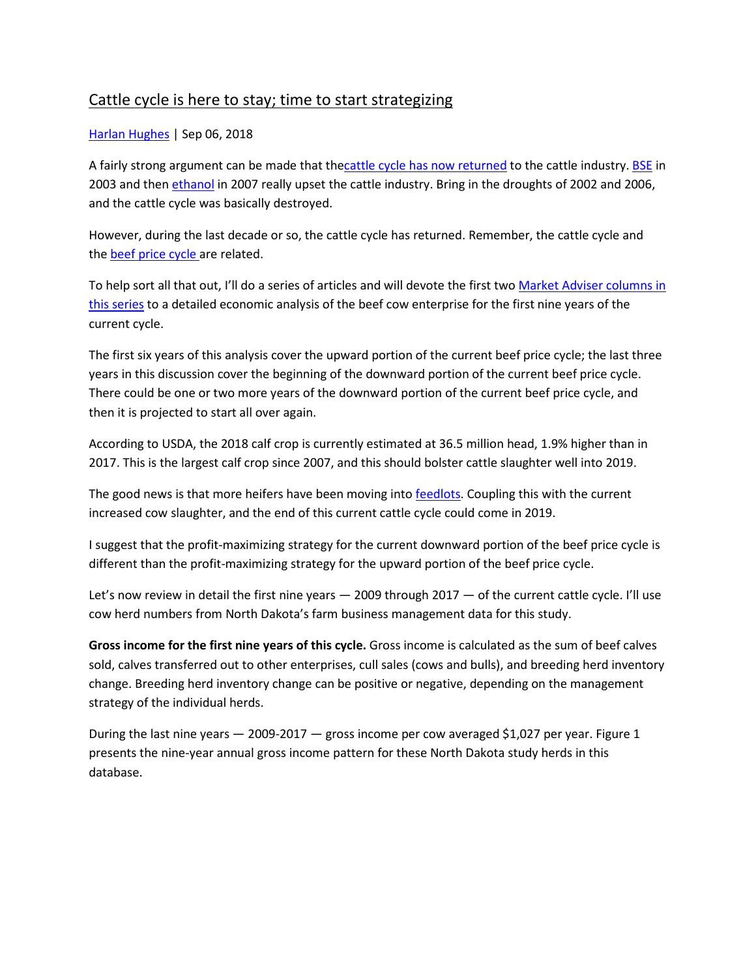#### Cattle cycle is here to stay; time to start strategizing

#### [Harlan Hughes](https://www.beefmagazine.com/author/Harlan-Hughes) | Sep 06, 2018

A fairly strong argument can be made that th[ecattle cycle has now returned](https://www.beefmagazine.com/blog/what-expect-upcoming-cattle-cycle) to the cattle industry. [BSE](https://www.beefmagazine.com/biosecurity/key-messages-producers-bse) in 2003 and then [ethanol](https://www.beefmagazine.com/ethanol/there-opportunity-ethanol-world) in 2007 really upset the cattle industry. Bring in the droughts of 2002 and 2006, and the cattle cycle was basically destroyed.

However, during the last decade or so, the cattle cycle has returned. Remember, the cattle cycle and the **[beef price cycle](https://www.beefmagazine.com/marketing/what-s-next-beef-price-cycle)** are related.

To help sort all that out, I'll do a series of articles and will devote the first two Market Adviser columns in [this series](https://www.beefmagazine.com/market-advisor) to a detailed economic analysis of the beef cow enterprise for the first nine years of the current cycle.

The first six years of this analysis cover the upward portion of the current beef price cycle; the last three years in this discussion cover the beginning of the downward portion of the current beef price cycle. There could be one or two more years of the downward portion of the current beef price cycle, and then it is projected to start all over again.

According to USDA, the 2018 calf crop is currently estimated at 36.5 million head, 1.9% higher than in 2017. This is the largest calf crop since 2007, and this should bolster cattle slaughter well into 2019.

The good news is that more heifers have been moving into [feedlots.](https://www.beefmagazine.com/livestock/feedlots) Coupling this with the current increased cow slaughter, and the end of this current cattle cycle could come in 2019.

I suggest that the profit-maximizing strategy for the current downward portion of the beef price cycle is different than the profit-maximizing strategy for the upward portion of the beef price cycle.

Let's now review in detail the first nine years - 2009 through 2017 - of the current cattle cycle. I'll use cow herd numbers from North Dakota's farm business management data for this study.

**Gross income for the first nine years of this cycle.** Gross income is calculated as the sum of beef calves sold, calves transferred out to other enterprises, cull sales (cows and bulls), and breeding herd inventory change. Breeding herd inventory change can be positive or negative, depending on the management strategy of the individual herds.

During the last nine years — 2009-2017 — gross income per cow averaged \$1,027 per year. Figure 1 presents the nine-year annual gross income pattern for these North Dakota study herds in this database.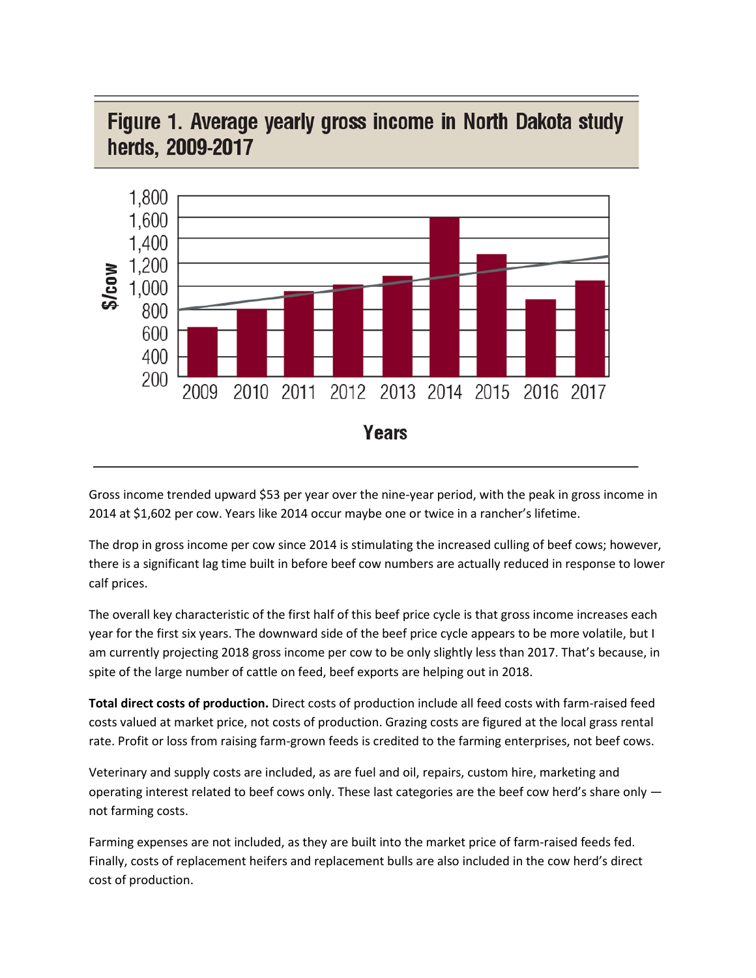

## Figure 1. Average yearly gross income in North Dakota study herds, 2009-2017

Gross income trended upward \$53 per year over the nine-year period, with the peak in gross income in 2014 at \$1,602 per cow. Years like 2014 occur maybe one or twice in a rancher's lifetime.

The drop in gross income per cow since 2014 is stimulating the increased culling of beef cows; however, there is a significant lag time built in before beef cow numbers are actually reduced in response to lower calf prices.

The overall key characteristic of the first half of this beef price cycle is that gross income increases each year for the first six years. The downward side of the beef price cycle appears to be more volatile, but I am currently projecting 2018 gross income per cow to be only slightly less than 2017. That's because, in spite of the large number of cattle on feed, beef exports are helping out in 2018.

**Total direct costs of production.** Direct costs of production include all feed costs with farm-raised feed costs valued at market price, not costs of production. Grazing costs are figured at the local grass rental rate. Profit or loss from raising farm-grown feeds is credited to the farming enterprises, not beef cows.

Veterinary and supply costs are included, as are fuel and oil, repairs, custom hire, marketing and operating interest related to beef cows only. These last categories are the beef cow herd's share only not farming costs.

Farming expenses are not included, as they are built into the market price of farm-raised feeds fed. Finally, costs of replacement heifers and replacement bulls are also included in the cow herd's direct cost of production.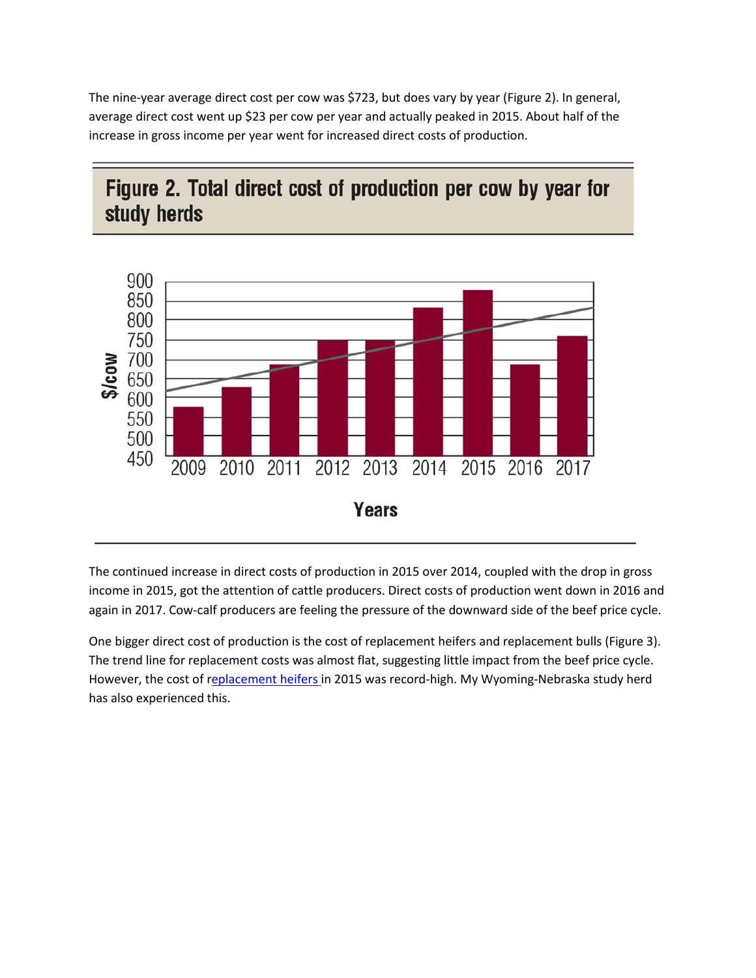The nine-year average direct cost per cow was \$723, but does vary by year (Figure 2). In general, average direct cost went up \$23 per cow per year and actually peaked in 2015. About half of the increase in gross income per year went for increased direct costs of production.

# Figure 2. Total direct cost of production per cow by year for study herds



The continued increase in direct costs of production in 2015 over 2014, coupled with the drop in gross income in 2015, got the attention of cattle producers. Direct costs of production went down in 2016 and again in 2017. Cow-calf producers are feeling the pressure of the downward side of the beef price cycle.

One bigger direct cost of production is the cost of replacement heifers and replacement bulls (Figure 3). The trend line for replacement costs was almost flat, suggesting little impact from the beef price cycle. However, the cost of [replacement heifers](https://www.beefmagazine.com/marketing/2018-heifer-calves-could-become-your-most-profitable-cows) in 2015 was record-high. My Wyoming-Nebraska study herd has also experienced this.